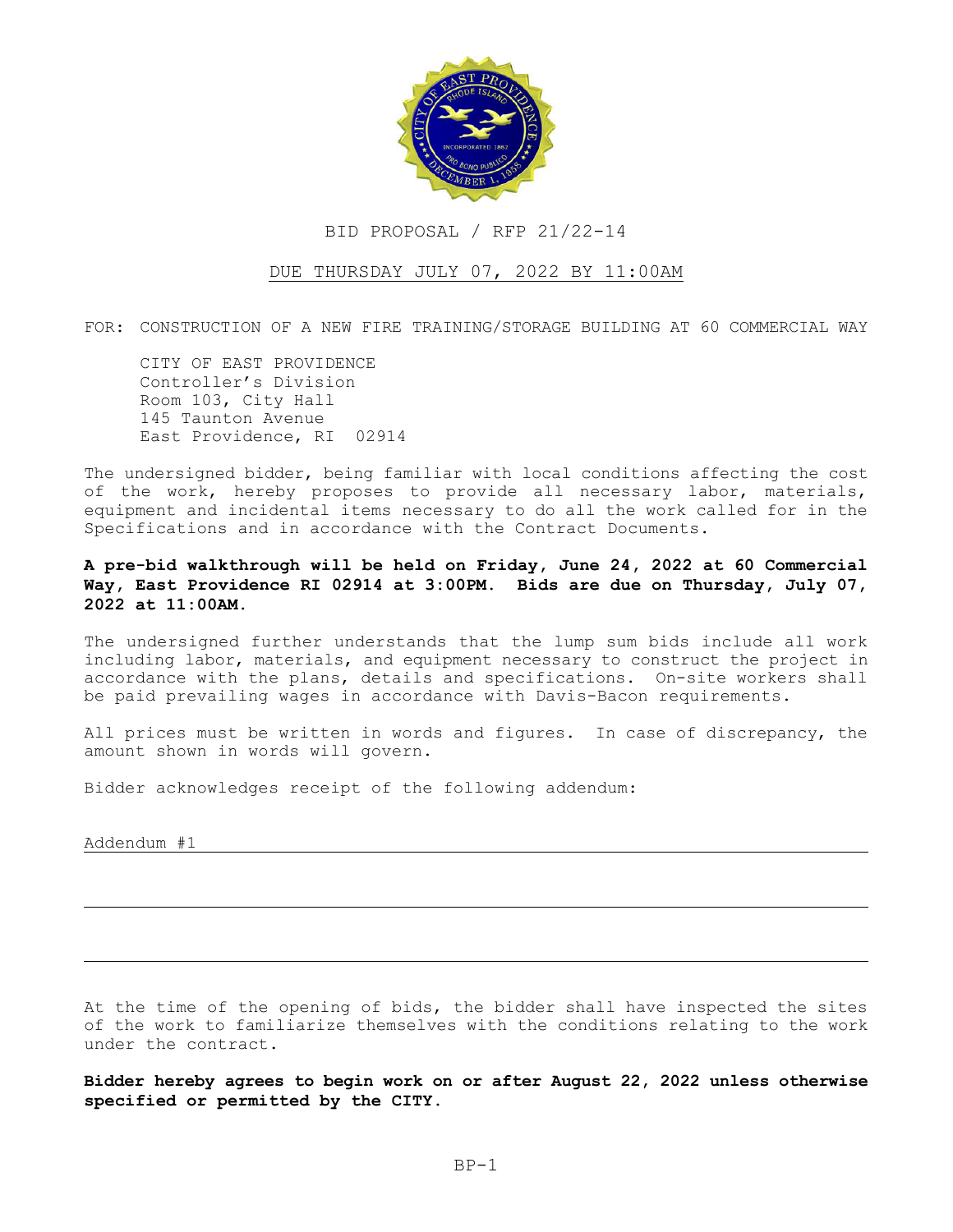

## BID PROPOSAL / RFP 21/22-14

## DUE THURSDAY JULY 07, 2022 BY 11:00AM

FOR: CONSTRUCTION OF A NEW FIRE TRAINING/STORAGE BUILDING AT 60 COMMERCIAL WAY

CITY OF EAST PROVIDENCE Controller's Division Room 103, City Hall 145 Taunton Avenue East Providence, RI 02914

The undersigned bidder, being familiar with local conditions affecting the cost of the work, hereby proposes to provide all necessary labor, materials, equipment and incidental items necessary to do all the work called for in the Specifications and in accordance with the Contract Documents.

A pre-bid walkthrough will be held on Friday, June 24, 2022 at 60 Commercial Way, East Providence RI 02914 at 3:00PM. Bids are due on Thursday, July 07, 2022 at 11:00AM.

The undersigned further understands that the lump sum bids include all work including labor, materials, and equipment necessary to construct the project in accordance with the plans, details and specifications. On-site workers shall be paid prevailing wages in accordance with Davis-Bacon requirements.

All prices must be written in words and figures. In case of discrepancy, the amount shown in words will govern.

Bidder acknowledges receipt of the following addendum:

Addendum #1

At the time of the opening of bids, the bidder shall have inspected the sites of the work to familiarize themselves with the conditions relating to the work under the contract.

Bidder hereby agrees to begin work on or after August 22, 2022 unless otherwise specified or permitted by the CITY.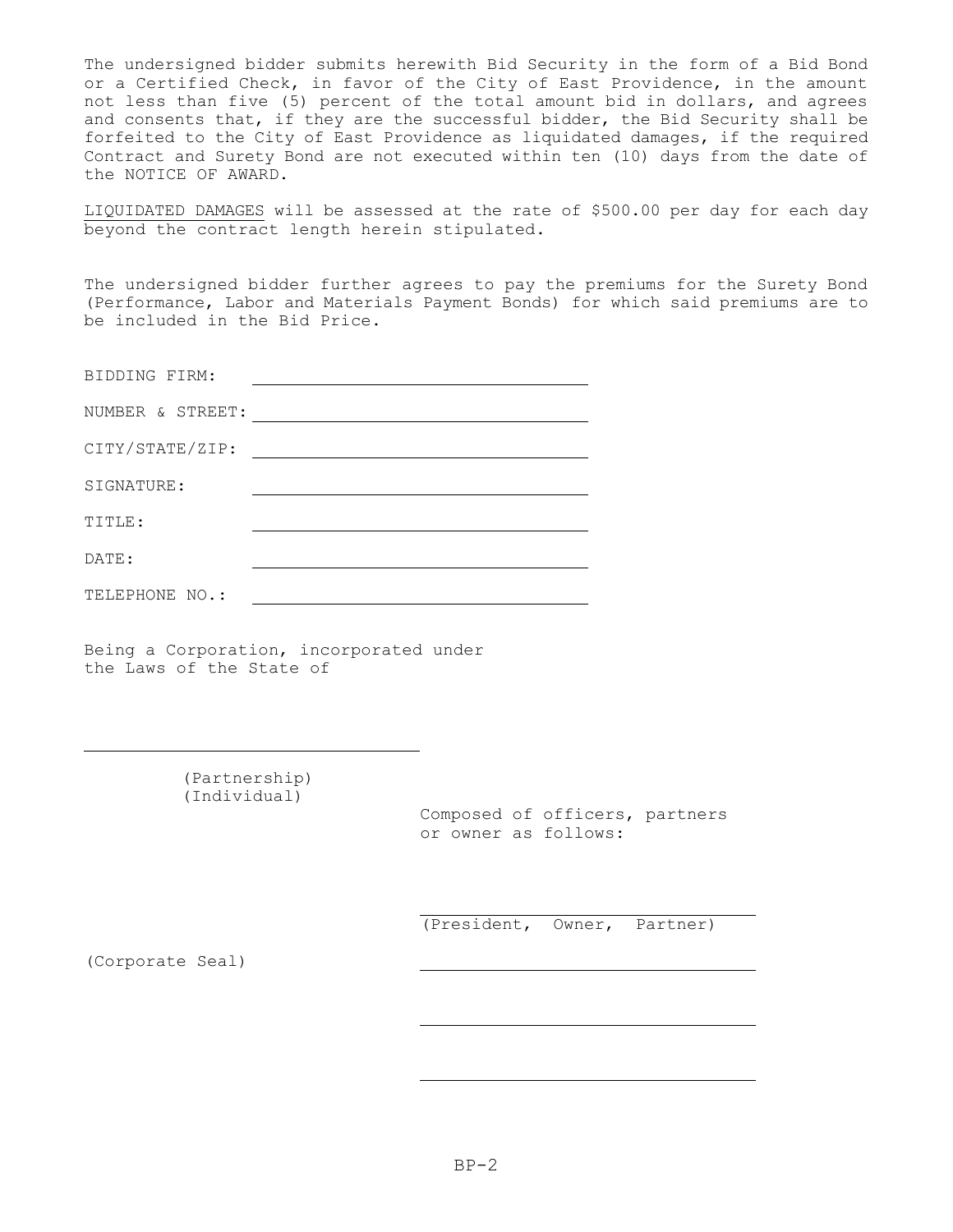The undersigned bidder submits herewith Bid Security in the form of a Bid Bond or a Certified Check, in favor of the City of East Providence, in the amount not less than five (5) percent of the total amount bid in dollars, and agrees and consents that, if they are the successful bidder, the Bid Security shall be forfeited to the City of East Providence as liquidated damages, if the required Contract and Surety Bond are not executed within ten (10) days from the date of the NOTICE OF AWARD.

LIQUIDATED DAMAGES will be assessed at the rate of \$500.00 per day for each day beyond the contract length herein stipulated.

The undersigned bidder further agrees to pay the premiums for the Surety Bond (Performance, Labor and Materials Payment Bonds) for which said premiums are to be included in the Bid Price.

| BIDDING FIRM:<br>$\sim$ |
|-------------------------|
|-------------------------|

| NUMBER & STREET |  |  |
|-----------------|--|--|
|                 |  |  |

CITY/STATE/ZIP:

SIGNATURE:

TITLE:

DATE:

| TELEPHONE NO.: |
|----------------|
|----------------|

Being a Corporation, incorporated under the Laws of the State of

> (Partnership) (Individual)

> > Composed of officers, partners or owner as follows:

(President, Owner, Partner)

(Corporate Seal)